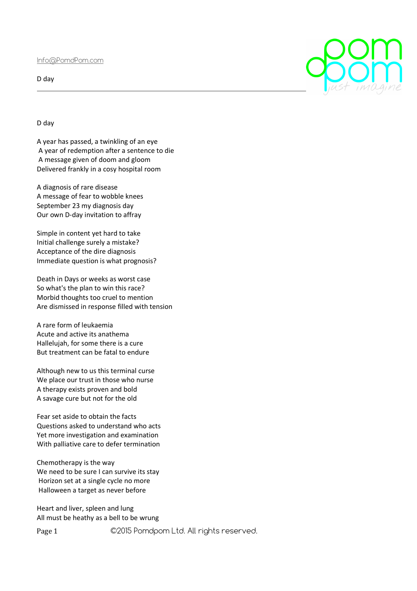Info@PomdPom.com

D day

D day

A year has passed, a twinkling of an eye A year of redemption after a sentence to die A message given of doom and gloom Delivered frankly in a cosy hospital room

A diagnosis of rare disease A message of fear to wobble knees September 23 my diagnosis day Our own D-day invitation to affray

Simple in content yet hard to take Initial challenge surely a mistake? Acceptance of the dire diagnosis Immediate question is what prognosis?

Death in Days or weeks as worst case So what's the plan to win this race? Morbid thoughts too cruel to mention Are dismissed in response filled with tension

A rare form of leukaemia Acute and active its anathema Hallelujah, for some there is a cure But treatment can be fatal to endure

Although new to us this terminal curse We place our trust in those who nurse A therapy exists proven and bold A savage cure but not for the old

Fear set aside to obtain the facts Questions asked to understand who acts Yet more investigation and examination With palliative care to defer termination

Chemotherapy is the way We need to be sure I can survive its stay Horizon set at a single cycle no more Halloween a target as never before

Heart and liver, spleen and lung All must be heathy as a bell to be wrung

Page 1 ©2015 Pomdpom Ltd. All rights reserved.